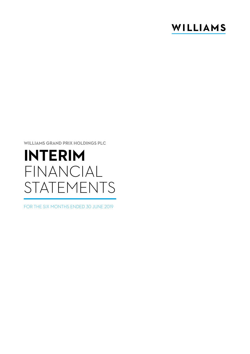## WILLIAMS

**WILLIAMS GRAND PRIX HOLDINGS PLC**

# **INTERIM**  FINANCIAL STATEMENTS

FOR THE SIX MONTHS ENDED 30 JUNE 2019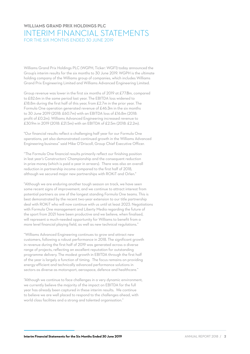## **WILLIAMS GRAND PRIX HOLDINGS PLC** INTERIM FINANCIAL STATEMENTS FOR THE SIX MONTHS ENDED 30 JUNE 2019

Williams Grand Prix Holdings PLC (WGPH, Ticker: WGF1) today announced the Group's interim results for the six months to 30 June 2019. WGPH is the ultimate holding company of the Williams group of companies, which includes Williams Grand Prix Engineering Limited and Williams Advanced Engineering Limited.

Group revenue was lower in the first six months of 2019 at £77.8m, compared to £82.6m in the same period last year. The EBITDA loss widened to £18.8m during the first half of this year, from £2.7m in the prior year. The Formula One operation generated revenue of £46.3m in the six months to 30 June 2019 (2018: £60.7m) with an EBITDA loss of £16.8m (2018: profit of £0.2m). Williams Advanced Engineering increased revenue to £30.9m in 2019 (2018: £21.5m) with an EBITDA of £2.5m (2018: £2.2m).

"Our financial results reflect a challenging half year for our Formula One operations, yet also demonstrated continued growth in the Williams Advanced Engineering business" said Mike O'Driscoll, Group Chief Executive Officer.

"The Formula One financial results primarily reflect our finishing position in last year's Constructors' Championship and the consequent reduction in prize money (which is paid a year in arrears). There was also an overall reduction in partnership income compared to the first half of 2018, although we secured major new partnerships with ROKiT and Orlen."

"Although we are enduring another tough season on track, we have seen some recent signs of improvement, and we continue to attract interest from potential partners as one of the longest standing Formula One teams. This is best demonstrated by the recent two-year extension to our title partnership deal with ROKiT who will now continue with us until at least 2023. Negotiations with Formula One management and Liberty Media regarding the future of the sport from 2021 have been productive and we believe, when finalised, will represent a much-needed opportunity for Williams to benefit from a more level financial playing field, as well as new technical regulations."

"Williams Advanced Engineering continues to grow and attract new customers, following a robust performance in 2018. The significant growth in revenue during the first half of 2019 was generated across a diverse range of projects, reflecting an excellent reputation for outstanding programme delivery. The modest growth in EBITDA through the first half of the year is largely a function of timing. The focus remains on providing energy-efficient and technically advanced performance solutions in sectors as diverse as motorsport, aerospace, defence and healthcare."

"Although we continue to face challenges in a very dynamic environment, we currently believe the majority of the impact on EBITDA for the full year has already been captured in these interim results. We continue to believe we are well placed to respond to the challenges ahead, with world class facilities and a strong and talented organisation."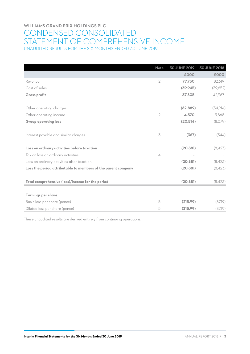## **WILLIAMS GRAND PRIX HOLDINGS PLC** CONDENSED CONSOLIDATED STATEMENT OF COMPREHENSIVE INCOME UNAUDITED RESULTS FOR THE SIX MONTHS ENDED 30 JUNE 2019

|                                                               | <b>Note</b>              | <b>30 JUNE 2019</b> | <b>30 JUNE 2018</b> |
|---------------------------------------------------------------|--------------------------|---------------------|---------------------|
|                                                               |                          | £000                | £000                |
| Revenue                                                       | $\overline{2}$           | 77,750              | 82,619              |
| Cost of sales                                                 |                          | (39, 945)           | (39,652)            |
| <b>Gross profit</b>                                           |                          | 37,805              | 42,967              |
|                                                               |                          |                     |                     |
| Other operating charges                                       |                          | (62, 889)           | (54, 914)           |
| Other operating income                                        | $\overline{2}$           | 4,570               | 3,868               |
| <b>Group operating loss</b>                                   |                          | (20,514)            | (8,079)             |
|                                                               |                          |                     |                     |
| Interest payable and similar charges                          | 3                        | (367)               | (344)               |
|                                                               |                          |                     |                     |
| Loss on ordinary activities before taxation                   |                          | (20, 881)           | (8,423)             |
| Tax on loss on ordinary activities                            | $\overline{\mathcal{A}}$ |                     |                     |
| Loss on ordinary activities after taxation                    |                          | (20, 881)           | (8,423)             |
| Loss the period attributable to members of the parent company |                          | (20, 881)           | (8,423)             |
|                                                               |                          |                     |                     |
| Total comprehensive (loss)/income for the period              |                          | (20, 881)           | (8,423)             |
|                                                               |                          |                     |                     |
| <b>Earnings per share</b>                                     |                          |                     |                     |
| Basic loss per share (pence)                                  | 5                        | (215.99)            | (87.19)             |
| Diluted loss per share (pence)                                | 5                        | (215.99)            | (87.19)             |

These unaudited results are derived entirely from continuing operations.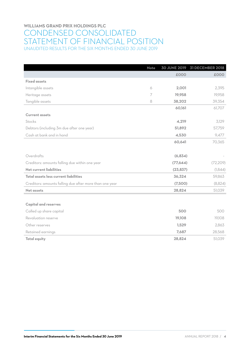## **WILLIAMS GRAND PRIX HOLDINGS PLC** CONDENSED CONSOLIDATED STATEMENT OF FINANCIAL POSITION UNAUDITED RESULTS FOR THE SIX MONTHS ENDED 30 JUNE 2019

|                                                         | <b>Note</b> |           | 30 JUNE 2019 31 DECEMBER 2018 |
|---------------------------------------------------------|-------------|-----------|-------------------------------|
|                                                         |             | £000      | £000                          |
| <b>Fixed assets</b>                                     |             |           |                               |
| Intangible assets                                       | 6           | 2,001     | 2,395                         |
| Heritage assets                                         | 7           | 19.958    | 19,958                        |
| Tangible assets                                         | 8           | 38,202    | 39,354                        |
|                                                         |             | 60,161    | 61,707                        |
| <b>Current assets</b>                                   |             |           |                               |
| Stocks                                                  |             | 4,219     | 3,129                         |
| Debtors (including 3m due after one year)               |             | 51,892    | 57,759                        |
| Cash at bank and in hand                                |             | 4,530     | 9,477                         |
|                                                         |             | 60,641    | 70,365                        |
|                                                         |             |           |                               |
| Overdrafts                                              |             | (6,834)   |                               |
| Creditors: amounts falling due within one year          |             | (77, 644) | (72, 209)                     |
| <b>Net current liabilities</b>                          |             | (23, 837) | (1,844)                       |
| Total assets less current liabilities                   |             | 36,324    | 59,863                        |
| Creditors: amounts falling due after more than one year |             | (7,500)   | (8,824)                       |
| <b>Net assets</b>                                       |             | 28,824    | 51,039                        |
|                                                         |             |           |                               |
| <b>Capital and reserves</b>                             |             |           |                               |
| Called up share capital                                 |             | 500       | 500                           |
| Revaluation reserve                                     |             | 19,108    | 19,108                        |
| Other reserves                                          |             | 1,529     | 2,863                         |
| Retained earnings                                       |             | 7,687     | 28,568                        |
| <b>Total equity</b>                                     |             | 28,824    | 51,039                        |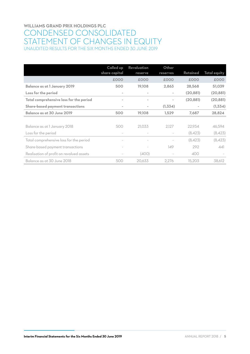## **WILLIAMS GRAND PRIX HOLDINGS PLC** CONDENSED CONSOLIDATED STATEMENT OF CHANGES IN EQUITY UNAUDITED RESULTS FOR THE SIX MONTHS ENDED 30 JUNE 2019

|                                          | Called up<br>share capital | Revaluation<br>reserve   | Other<br>reserves | Retained  | <b>Total equity</b> |
|------------------------------------------|----------------------------|--------------------------|-------------------|-----------|---------------------|
|                                          | £000                       | £000                     | £000              | £000      | £000                |
| <b>Balance as at 1 January 2019</b>      | 500                        | 19.108                   | 2,863             | 28,568    | 51,039              |
| Loss for the period                      | $\sim$                     | $\overline{\phantom{a}}$ | $\sim$            | (20, 881) | (20, 881)           |
| Total comprehensive loss for the period  | $\sim$                     | $\overline{\phantom{a}}$ | $\sim$            | (20, 881) | (20, 881)           |
| <b>Share-based payment transactions</b>  | $\sim$                     | $\sim$                   | (1,334)           | $\sim$    | (1,334)             |
| Balance as at 30 June 2019               | 500                        | 19,108                   | 1,529             | 7,687     | 28,824              |
|                                          |                            |                          |                   |           |                     |
| Balance as at 1 January 2018             | 500                        | 21.033                   | 2.127             | 22,934    | 46,594              |
| Loss for the period                      | $\sim$                     |                          |                   | (8,423)   | (8,423)             |
| Total comprehensive loss for the period  | $\overline{\phantom{a}}$   |                          |                   | (8,423)   | (8,423)             |
| Share-based payment transactions         |                            |                          | 149               | 292       | 441                 |
| Realisation of profit on revalued assets | $\overline{\phantom{a}}$   | (400)                    |                   | 400       |                     |
| Balance as at 30 June 2018               | 500                        | 20.633                   | 2.276             | 15.203    | 38,612              |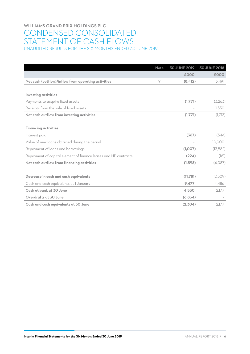## **WILLIAMS GRAND PRIX HOLDINGS PLC** CONDENSED CONSOLIDATED STATEMENT OF CASH FLOWS UNAUDITED RESULTS FOR THE SIX MONTHS ENDED 30 JUNE 2019

|                                                                 | <b>Note</b> | <b>30 JUNE 2019</b> | <b>30 JUNE 2018</b> |
|-----------------------------------------------------------------|-------------|---------------------|---------------------|
|                                                                 |             | £000                | £000                |
| Net cash (outflow)/inflow from operating activities             | 9           | (8,412)             | 3,491               |
|                                                                 |             |                     |                     |
| <b>Investing activities</b>                                     |             |                     |                     |
| Payments to acquire fixed assets                                |             | (1,771)             | (3,263)             |
| Receipts from the sale of fixed assets                          |             |                     | 1.550               |
| Net cash outflow from investing activities                      |             | (1,771)             | (1,713)             |
|                                                                 |             |                     |                     |
| <b>Financing activities</b>                                     |             |                     |                     |
| Interest paid                                                   |             | (367)               | (344)               |
| Value of new loans obtained during the period                   |             |                     | 10.000              |
| Repayment of loans and borrowings                               |             | (1,007)             | (13,582)            |
| Repayment of capital element of finance leases and HP contracts |             | (224)               | (161)               |
| Net cash outflow from financing activities                      |             | (1,598)             | (4,087)             |
|                                                                 |             |                     |                     |
| Decrease in cash and cash equivalents                           |             | (11,781)            | (2,309)             |
| Cash and cash equivalents at I January                          |             | 9,477               | 4,486               |
| Cash at bank at 30 June                                         |             | 4.530               | 2,177               |
| Overdrafts at 30 June                                           |             | (6,834)             |                     |
| Cash and cash equivalents at 30 June                            |             | (2,304)             | 2,177               |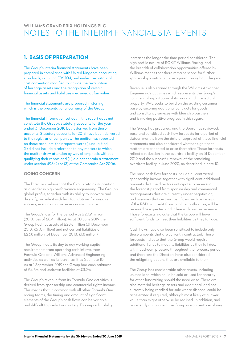## **WILLIAMS GRAND PRIX HOLDINGS PLC** NOTES TO THE INTERIM FINANCIAL STATEMENTS

## **1. BASIS OF PREPARATION**

The Group's interim financial statements have been prepared in compliance with United Kingdom accounting standards, including FRS 104, and under the historical cost convention modified to include the revaluation of heritage assets and the recognition of certain financial assets and liabilities measured at fair value.

The financial statements are prepared in sterling, which is the presentational currency of the Group.

The financial information set out in this report does not constitute the Group's statutory accounts for the year ended 31 December 2018 but is derived from those accounts. Statutory accounts for 2018 have been delivered to the registrar of companies. The auditor has reported on those accounts; their reports were (i) unqualified, (ii) did not include a reference to any matters to which the auditor drew attention by way of emphasis without qualifying their report and (iii) did not contain a statement under section 498 (2) or (3) of the Companies Act 2006.

#### **GOING CONCERN**

The Directors believe that the Group retains its position as a leader in high performance engineering. The Group's global profile, together with its ability to innovate and diversify, provide it with firm foundations for ongoing success, even in an adverse economic climate.

The Group's loss for the period was £20.9 million (2018: loss of £8.4 million). As at 30 June 2019 the Group had net assets of £28.8 million (31 December 2018: £51.0 million) and net current liabilities of £23.8 million (31 December 2018: £1.8 million).

The Group meets its day to day working capital requirements from operating cash inflows from Formula One and Williams Advanced Engineering activities as well as its bank facilities (see note 10). As at 1 September 2019 the Group had cash balances of £4.3m and undrawn facilities of £3.9m.

The Group's revenue from its Formula One activities is derived from sponsorship and commercial rights income. This means that in common with all other Formula One racing teams, the timing and amount of significant elements of the Group's cash flows can be variable and difficult to predict accurately. This unpredictability

increases the longer the time period considered. The high profile nature of ROKiT Williams Racing, and the breadth of collaboration opportunities offered by Williams means that there remains scope for further sponsorship contracts to be agreed throughout the year.

Revenue is also earned through the Williams Advanced Engineering's activities which represents the Group's commercial exploitation of its brand and intellectual property. WAE seeks to build on the existing customer base by securing additional contracts for goods and consultancy services with blue chip partners and is making positive progress in this regard.

The Group has prepared, and the Board has reviewed, base and sensitised cash flow forecasts for a period of sixteen months from the date of approval of these financial statements and also considered whether significant matters are expected to arise thereafter. Those forecasts reflect a reduction in the overdraft facility on 31 December 2019 and the successful renewal of the remaining overdraft facility in June 2020, as described in note 10.

The base cash flow forecasts include all contracted sponsorship income together with significant additional amounts that the directors anticipate to receive in the forecast period from sponsorship and commercial arrangements that are currently under negotiation; and assumes that certain cash flows, such as receipt of the R&D tax credit from local tax authorities, will be received as expected and in line with past experience. Those forecasts indicate that the Group will have sufficient funds to meet their liabilities as they fall due.

Cash flows have also been sensitised to include only those amounts that are currently contracted. Those forecasts indicate that the Group would require additional funds to meet its liabilities as they fall due, with headroom pressure throughout the forecast period, and therefore the Directors have also considered the mitigating actions that are available to them.

The Group has considerable other assets, including unused land, which could be sold or used for security for other fundraising should the need arise. There are also material heritage assets and additional land not currently being readied for sale where disposal could be accelerated if required, although most likely at a lower value than might otherwise be realised. In addition, and as recently announced, the Group are currently exploring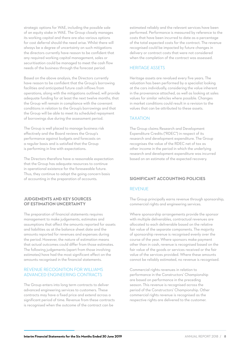strategic options for WAE, including the possible sale of an equity stake in WAE. The Group closely manages its working capital and there are also various options for cost deferral should the need arise. Whilst there will always be a degree of uncertainty on such mitigations the directors currently have reason to be confident that any required working capital management, sales or securitisation could be managed to meet the cash flow needs of the business through the forecast period.

Based on the above analysis, the Directors currently have reason to be confident that the Group's borrowing facilities and anticipated future cash inflows from operations, along with the mitigations outlined, will provide adequate funding for at least the next twelve months, that the Group will remain in compliance with the covenant conditions in relation to the Group's borrowings and that the Group will be able to meet its scheduled repayment of borrowings due during the assessment period.

The Group is well placed to manage business risk effectively and the Board reviews the Group's performance against budgets and forecasts on a regular basis and is satisfied that the Group is performing in line with expectations.

The Directors therefore have a reasonable expectation that the Group has adequate resources to continue in operational existence for the foreseeable future. Thus, they continue to adopt the going concern basis of accounting in the preparation of accounts.

#### **JUDGEMENTS AND KEY SOURCES OF ESTIMATION UNCERTAINTY**

The preparation of financial statements requires management to make judgements, estimates and assumptions that affect the amounts reported for assets and liabilities as at the balance sheet date and the amounts reported for revenues and expenses during the period. However, the nature of estimation means that actual outcomes could differ from those estimates. The following judgements (apart from those involving estimates) have had the most significant effect on the amounts recognised in the financial statements.

#### REVENUE RECOGNITION FOR WILLIAMS ADVANCED ENGINEERING CONTRACTS

The Group enters into long term contracts to deliver advanced engineering services to customers. These contracts may have a fixed price and extend across a significant period of time. Revenue from these contracts is recognised when the outcome of the contract can be

estimated reliably and the relevant services have been performed. Performance is measured by reference to the costs that have been incurred to date as a percentage of the total expected costs for the contract. The revenue recognised could be impacted by future changes in delivery or contract costs that were not considered when the completion of the contract was assessed.

#### HERITAGE ASSETS

Heritage assets are revalued every five years. The valuation has been performed by a specialist looking at the cars individually, considering the value inherent in the provenance attached, as well as looking at sales values for similar vehicles where possible. Changes in market conditions could result in a revision to the values that can be attributed to these assets.

#### TAXATION

The Group claims Research and Development Expenditure Credits ("RDEC") in respect of its research and development expenditure. The Group recognises the value of the RDEC net of tax as other income in the period in which the underlying research and development expenditure was incurred based on an estimate of the expected recovery.

#### **SIGNIFICANT ACCOUNTING POLICIES**

#### REVENUE

The Group principally earns revenue through sponsorship, commercial rights and engineering services.

Where sponsorship arrangements provide the sponsor with multiple deliverables, contractual revenues are allocated to each deliverable based on the relative fair value of the separate components. The majority of sponsorship revenue is recognised evenly over the course of the year. Where sponsors make payment other than in cash, revenue is recognised based on the fair value of the goods or services received or the fair value of the services provided. Where these amounts cannot be reliably estimated, no revenue is recognised.

Commercial rights revenues in relation to performance in the Constructors' Championship are based on performance in the preceding season. This revenue is recognised across the period of the Constructors' Championship. Other commercial rights revenue is recognised as the respective rights are delivered to the customer.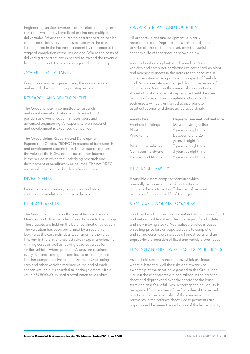Engineering service revenue is often related to long term contracts which may have fixed pricing and multiple deliverables. Where the outcome of a transaction can be estimated reliably, revenue associated with the transaction is recognised in the income statement by reference to the stage of completion at the period end. Where the costs of delivering a contract are expected to exceed the revenue from the contract, the loss is recognised immediately.

#### GOVERNMENT GRANTS

Grant income is recognised using the accrual model and included within other operating income.

#### RESEARCH AND DEVELOPMENT

The Group is heavily committed to research and development activities so as to maintain its position as a world leader in motor sport and advanced engineering. All expenditure on research and development is expensed as incurred.

The Group claims Research and Development Expenditure Credits ("RDEC") in respect of its research and development expenditure. The Group recognises the value of the RDEC net of tax as other income in the period in which the underlying research and development expenditure was incurred. The net RDEC receivable is recognised within other debtors.

#### INVESTMENTS

Investments in subsidiary companies are held at cost less accumulated impairment losses.

#### HERITAGE ASSETS

The Group maintains a collection of historic Formula One cars and other vehicles of significance to the Group. These assets are held on the balance sheet at valuation. The valuation has been performed by a specialist looking at the cars individually, considering the value inherent in the provenance attached (e.g. championship winning cars), as well as looking at sales values for similar vehicles where possible. Assets are revalued every five years and gains and losses are recognised in other comprehensive income. Formula One racing cars and other vehicles retained at the end of each season are initially recorded as heritage assets with a value of £50,000 up until a revaluation takes place.

#### PROPERTY, PLANT AND EQUIPMENT

All property, plant and equipment is initially recorded at cost. Depreciation is calculated so as to write off the cost of an asset, over the useful economic life of that asset as shown below.

Assets classified as plant, wind tunnel, pit & motor vehicles and computer hardware are presented as plant and machinery assets in the notes to the accounts. A nil depreciation rate is provided in respect of freehold land. No depreciation is charged during the period of construction. Assets in the course of construction are stated at cost and are not depreciated until they are available for use. Upon completion of construction, such assets will be transferred to appropriate asset categories and depreciated accordingly.

#### **Asset class Depreciation method and rate**

Freehold buildings 50 years straight-line Plant 6 years straight-line

Wind tunnel Between 8 and 25 years straight-line Pit & motor vehicles 3 years straight-line Computer hardware 3 years straight-line Fixtures and fittings 6 years straight-line

#### INTANGIBLE ASSETS

Intangible assets comprise software which is initially recorded at cost. Amortisation is calculated so as to write off the cost of an asset over a useful economic life of three years.

#### STOCK AND WORK IN PROGRESS

Stock and work in progress are valued at the lower of cost and net realisable value, after due regard for obsolete and slow moving stocks. Net realisable value is based on selling price less anticipated costs to completion and selling costs. Cost includes all direct costs and an appropriate proportion of fixed and variable overheads.

#### LEASING AND HIRE PURCHASE COMMITMENTS

Assets held under finance leases, which are leases where substantially all the risks and rewards of ownership of the asset have passed to the Group, and hire purchase contracts are capitalised in the balance sheet and depreciated over the shorter of the lease term and asset's useful lives. A corresponding liability is recognised for the lower of the fair value of the leased asset and the present value of the minimum lease payments in the balance sheet. Lease payments are apportioned between the reduction of the lease liability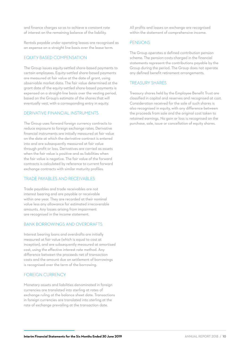and finance charges so as to achieve a constant rate of interest on the remaining balance of the liability.

Rentals payable under operating leases are recognised as an expense on a straight line basis over the lease term.

#### EQUITY-BASED COMPENSATION

The Group issues equity-settled share-based payments to certain employees. Equity-settled share-based payments are measured at fair value at the date of grant, using observable market data. The fair value determined at the grant date of the equity-settled share-based payments is expensed on a straight-line basis over the vesting period, based on the Group's estimate of the shares that will eventually vest, with a corresponding entry in equity.

#### DERIVATIVE FINANCIAL INSTRUMENTS

The Group uses forward foreign currency contracts to reduce exposure to foreign exchange rates. Derivative financial instruments are initially measured at fair value on the date at which the derivative contract is entered into and are subsequently measured at fair value through profit or loss. Derivatives are carried as assets when the fair value is positive and as liabilities when the fair value is negative. The fair value of the forward contracts is calculated by reference to current forward exchange contracts with similar maturity profiles.

#### TRADE PAYABLES AND RECEIVABLES

Trade payables and trade receivables are not interest bearing and are payable or receivable within one year. They are recorded at their nominal value less any allowance for estimated irrecoverable amounts. Any losses arising from impairment are recognised in the income statement.

#### BANK BORROWINGS AND OVERDRAFTS

Interest bearing loans and overdrafts are initially measured at fair value (which is equal to cost at inception), and are subsequently measured at amortised cost, using the effective interest rate method. Any difference between the proceeds net of transaction costs and the amount due on settlement of borrowings is recognised over the term of the borrowing.

#### FOREIGN CURRENCY

Monetary assets and liabilities denominated in foreign currencies are translated into sterling at rates of exchange ruling at the balance sheet date. Transactions in foreign currencies are translated into sterling at the rate of exchange prevailing at the transaction date.

All profits and losses on exchange are recognised within the statement of comprehensive income.

#### PENSIONS

The Group operates a defined contribution pension scheme. The pension costs charged in the financial statements represent the contributions payable by the Group during the period. The Group does not operate any defined benefit retirement arrangements.

#### TREASURY SHARES

Treasury shares held by the Employee Benefit Trust are classified in capital and reserves and recognised at cost. Consideration received for the sale of such shares is also recognised in equity, with any difference between the proceeds from sale and the original cost taken to retained earnings. No gain or loss is recognised on the purchase, sale, issue or cancellation of equity shares.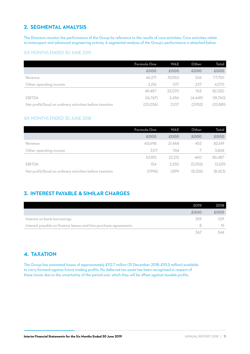## **2. SEGMENTAL ANALYSIS**

The Directors monitor the performance of the Group by reference to the results of core activities. Core activities relate to motorsport and advanced engineering activity. A segmental analysis of the Group's performance is attached below.

#### SIX MONTHS ENDED 30 JUNE 2019

|                                                          | <b>Formula One</b> | <b>WAE</b> | Other   | Total     |
|----------------------------------------------------------|--------------------|------------|---------|-----------|
|                                                          | £000               | £000       | £000    | £000      |
| Revenue                                                  | 46.271             | 30.953     | 526     | 77,750    |
| Other operating income                                   | 3,216              | 1.117      | 237     | 4,570     |
|                                                          | 49.487             | 32,070     | 763     | 82,320    |
| <b>EBITDA</b>                                            | (16,767)           | 2.456      | (4,449) | (18,760)  |
| Net profit/(loss) on ordinary activities before taxation | (20,036)           | 2.107      | (2.952) | (20, 881) |

#### SIX MONTHS ENDED 30 JUNE 2018

|                                                          | Formula One | <b>WAE</b> | Other   | Total   |
|----------------------------------------------------------|-------------|------------|---------|---------|
|                                                          | £000        | £000       | £000    | £000    |
| Revenue                                                  | 60.698      | 21.468     | 453     | 82,619  |
| Other operating income                                   | 3,117       | 744        |         | 3,868   |
|                                                          | 63.815      | 22,212     | 460     | 86,487  |
| <b>EBITDA</b>                                            | 154         | 2.250      | (5,055) | (2,651) |
| Net profit/(loss) on ordinary activities before taxation | (1.996)     | 1.899      | (8,326) | (8,423) |

## **3. INTEREST PAYABLE & SIMILAR CHARGES**

|                                                                 | 2019. | 2018 |
|-----------------------------------------------------------------|-------|------|
|                                                                 | £000  | £000 |
| Interest on bank borrowings                                     | 359   | 329  |
| Interest payable on finance leases and hire purchase agreements |       | 15   |
|                                                                 | 367   | 344  |

## **4. TAXATION**

The Group has estimated losses of approximately £112.7 million (31 December 2018: £93.5 million) available to carry forward against future trading profits. No deferred tax asset has been recognised in respect of these losses due to the uncertainty of the period over which they will be offset against taxable profits.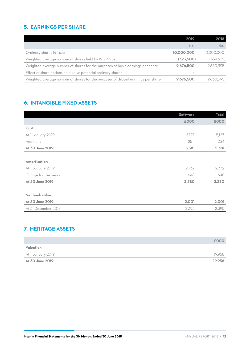## **5. EARNINGS PER SHARE**

|                                                                                  | 2019       | 2018       |
|----------------------------------------------------------------------------------|------------|------------|
|                                                                                  | No.        | No.        |
| Ordinary shares in issue                                                         | 10,000,000 | 10,000,000 |
| Weighted average number of shares held by WGP Trust                              | (323,500)  | (339,605)  |
| Weighted average number of shares for the purposes of basic earnings per share   | 9,676,500  | 9,660,395  |
| Effect of share options on dilutive potential ordinary shares                    |            |            |
| Weighted average number of shares for the purposes of diluted earnings per share | 9,676,500  | 9.660.395  |

## **6. INTANGIBLE FIXED ASSETS**

|                       | Software | <b>Total</b> |
|-----------------------|----------|--------------|
|                       | £000     | £000         |
| Cost                  |          |              |
| At 1 January 2019     | 5,127    | 5,127        |
| Additions             | 254      | 254          |
| At 30 June 2019       | 5,381    | 5,381        |
|                       |          |              |
| <b>Amortisation</b>   |          |              |
| At 1 January 2019     | 2,732    | 2,732        |
| Charge for the period | 648      | 648          |
| At 30 June 2019       | 3,380    | 3,380        |
|                       |          |              |
| Net book value        |          |              |
| At 30 June 2019       | 2,001    | 2,001        |
| At 31 December 2018   | 2,395    | 2,395        |
|                       |          |              |

## **7. HERITAGE ASSETS**

|                   | £000   |
|-------------------|--------|
| Valuation         |        |
| At 1 January 2019 | 19,958 |
| At 30 June 2019   | 19.958 |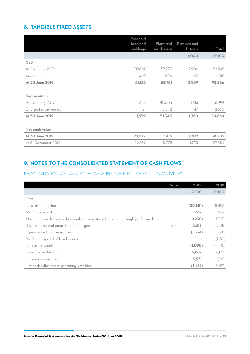## **8. TANGIBLE FIXED ASSETS**

|                       | Freehold<br>land and | <b>Plant and</b> | <b>Fixtures and</b> |        |
|-----------------------|----------------------|------------------|---------------------|--------|
|                       | buildings            | machinery        | fittings            | Total  |
|                       |                      |                  | £000                | £000   |
| Cost                  |                      |                  |                     |        |
| At 1 January 2019     | 30,667               | 57,775           | 2,906               | 91,348 |
| <b>Additions</b>      | 469                  | 986              | 63                  | 1,518  |
| At 30 June 2019       | 31,136               | 58,761           | 2,969               | 92,866 |
|                       |                      |                  |                     |        |
| Depreciation          |                      |                  |                     |        |
| At 1 January 2019     | 1,378                | 49,003           | 1,613               | 51,994 |
| Charge for the period | 181                  | 2,342            | 147                 | 2,670  |
| At 30 June 2019       | 1,559                | 51,345           | 1,760               | 54,664 |
|                       |                      |                  |                     |        |
| Net book value        |                      |                  |                     |        |
| At 30 June 2019       | 29,577               | 7,416            | 1,209               | 38,202 |
| At 31 December 2018   | 29,289               | 8,772            | 1,293               | 39,354 |

## **9. NOTES TO THE CONSOLIDATED STATEMENT OF CASH FLOWS**

#### RECONCILIATION OF LOSS TO NET CASH INFLOW FROM OPERATING ACTIVITIES

|                                                                                    | <b>Note</b> | 2019           | 2018    |
|------------------------------------------------------------------------------------|-------------|----------------|---------|
|                                                                                    |             | £000           | £000    |
| Cost                                                                               |             |                |         |
| Loss for the period                                                                |             | (20, 881)      | (8,423) |
| Net finance costs                                                                  |             | 367            | 344     |
| Movement on derivative financial instruments at fair value through profit and loss |             | (230)          | 1,323   |
| Depreciation and amortisation charges                                              | 6, 8        | 3,318          | 3,308   |
| Equity based compensation                                                          |             | (1, 334)       | 441     |
| Profit on disposal of fixed assets                                                 |             | $\blacksquare$ | (1,150) |
| Increase in stocks                                                                 |             | (1,090)        | (1,490) |
| Decrease in debtors                                                                |             | 5,867          | 6,177   |
| Increase in creditors                                                              |             | 5,571          | 2,961   |
| Net cash inflow from operating activities                                          |             | (8,412)        | 3,491   |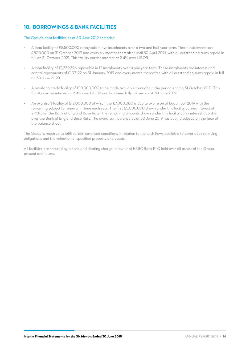## **10. BORROWINGS & BANK FACILITIES**

#### The Group's debt facilities as at 30 June 2019 comprise:

- A loan facility of £8,500,000 repayable in five instalments over a two and half year term. These instalments are £500,000 on 31 October 2019 and every six months thereafter until 30 April 2021, with all outstanding sums repaid in full on 31 October 2021. This facility carries interest at 2.4% over LIBOR.
- A loan facility of £1,359,396 repayable in 12 instalments over a one year term. These instalments are interest and capital repayments of £107,122 on 31 January 2019 and every month thereafter, with all outstanding sums repaid in full on 30 June 2020.
- A revolving credit facility of £10,000,000 to be made available throughout the period ending 31 October 2021. This facility carries interest at 2.4% over LIBOR and has been fully utilised as at 30 June 2019.
- An overdraft facility of £12,000,000 of which the £7,000,000 is due to expire on 31 December 2019 with the remaining subject to renewal in June each year. The first £5,000,000 drawn under this facility carries interest at 2.4% over the Bank of England Base Rate. The remaining amounts drawn under this facility carry interest at 3.4% over the Bank of England Base Rate. The overdrawn balance as at 30 June 2019 has been disclosed on the face of the balance sheet.

The Group is required to fulfil certain covenant conditions in relation to the cash flows available to cover debt servicing obligations and the valuation of specified property and assets.

All facilities are secured by a fixed and floating charge in favour of HSBC Bank PLC held over all assets of the Group, present and future.